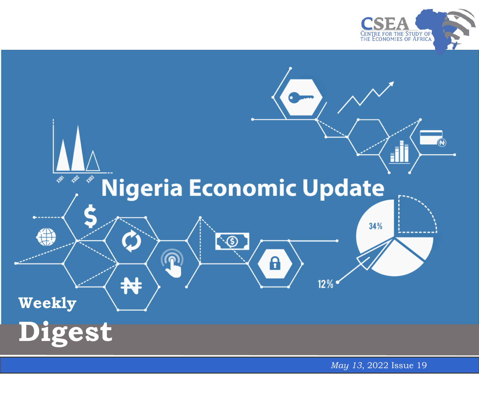



*May 13* , 2022 Issue 1 9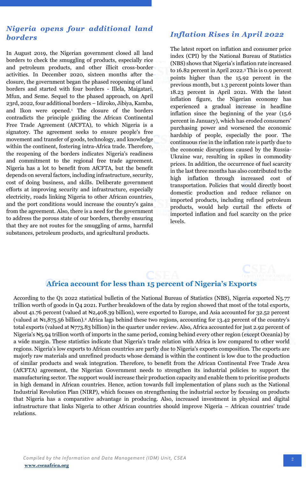## *Nigeria opens four additional land borders*

In August 2019, the Nigerian government closed all land borders to check the smuggling of products, especially rice and petroleum products, and other illicit cross-border activities. In December 2020, sixteen months after the closure, the government began the phased reopening of land borders and started with four borders - Illela, Maigatari, Mfun, and Seme. Sequel to the phased approach, on April 23rd, 2022, four additional borders – Idiroko, Jibiya, Kamba, and Ikon were opened.<sup>1</sup> The closure of the borders contradicts the principle guiding the African Continental Free Trade Agreement (AfCFTA), to which Nigeria is a signatory. The agreement seeks to ensure people's free movement and transfer of goods, technology, and knowledge within the continent, fostering intra-Africa trade. Therefore, the reopening of the borders indicates Nigeria's readiness and commitment to the regional free trade agreement. Nigeria has a lot to benefit from AfCFTA, but the benefit depends on several factors, including infrastructure, security, cost of doing business, and skills. Deliberate government efforts at improving security and infrastructure, especially electricity, roads linking Nigeria to other African countries, and the port conditions would increase the country's gains from the agreement. Also, there is a need for the government to address the porous state of our borders, thereby ensuring that they are not routes for the smuggling of arms, harmful substances, petroleum products, and agricultural products.

## *Inflation Rises in April 2022*

The latest report on inflation and consumer price index (CPI) by the National Bureau of Statistics (NBS) shows that Nigeria's inflation rate increased to 16.82 percent in April 2022.<sup>3</sup> This is 0.9 percent points higher than the 15.92 percent in the previous month, but 1.3 percent points lower than 18.23 percent in April 2021. With the latest inflation figure, the Nigerian economy has experienced a gradual increase in headline inflation since the beginning of the year  $(15.6)$ percent in January), which has eroded consumers' purchasing power and worsened the economic hardship of people, especially the poor. The continuous rise in the inflation rate is partly due to the economic disruptions caused by the Russia-Ukraine war, resulting in spikes in commodity prices. In addition, the occurrence of fuel scarcity in the last three months has also contributed to the high inflation through increased cost of transportation. Policies that would directly boost domestic production and reduce reliance on imported products, including refined petroleum products, would help curtail the effects of imported inflation and fuel scarcity on the price levels.

## **Africa account for less than 15 percent of Nigeria's Exports**

 total exports (valued at ₦773.83 billion) in the quarter under review. Also, Africa accounted for just 2.92 percent of According to the Q1 2022 statistical bulletin of the National Bureau of Statistics (NBS), Nigeria exported N5.77 trillion worth of goods in Q4 2021. Further breakdown of the data by region showed that most of the total exports, about 41.76 percent (valued at N2,408.39 billion), were exported to Europe, and Asia accounted for 32.52 percent (valued at ₦1,875.56 billion).<sup>2</sup> Africa lags behind these two regions, accounting for 13.42 percent of the country's Nigeria's ₦5.94 trillion worth of imports in the same period, coming behind every other region (except Oceania) by a wide margin. These statistics indicate that Nigeria's trade relation with Africa is low compared to other world regions. Nigeria's low exports to African countries are partly due to Nigeria's exports composition. The exports are majorly raw materials and unrefined products whose demand is within the continent is low due to the production of similar products and weak integration. Therefore, to benefit from the African Continental Free Trade Area (AfCFTA) agreement, the Nigerian Government needs to strengthen its industrial policies to support the manufacturing sector. The support would increase their production capacity and enable them to prioritise products in high demand in African countries. Hence, action towards full implementation of plans such as the National Industrial Revolution Plan (NIRP), which focuses on strengthening the industrial sector by focusing on products that Nigeria has a comparative advantage in producing. Also, increased investment in physical and digital infrastructure that links Nigeria to other African countries should improve Nigeria – African countries' trade relations.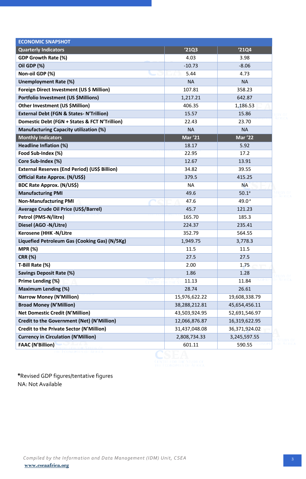| <b>ECONOMIC SNAPSHOT</b>                           |                |                   |
|----------------------------------------------------|----------------|-------------------|
| <b>Quarterly Indicators</b>                        | '21Q3          | '21Q4             |
| <b>GDP Growth Rate (%)</b>                         | 4.03           | 3.98              |
| Oil GDP (%)                                        | $-10.73$       | $-8.06$           |
| Non-oil GDP (%)                                    | 5.44           | 4.73              |
| <b>Unemployment Rate (%)</b>                       | <b>NA</b>      | <b>NA</b>         |
| Foreign Direct Investment (US \$ Million)          | 107.81         | 358.23            |
| <b>Portfolio Investment (US \$Millions)</b>        | 1,217.21       | 642.87            |
| Other Investment (US \$Million)                    | 406.35         | 1,186.53          |
| <b>External Debt (FGN &amp; States-N'Trillion)</b> | 15.57          | 15.86             |
| Domestic Debt (FGN + States & FCT N'Trillion)      | 22.43          | 23.70             |
| <b>Manufacturing Capacity utilization (%)</b>      | <b>NA</b>      | <b>NA</b>         |
| <b>Monthly Indicators</b>                          | <b>Mar '21</b> | <b>Mar '22</b>    |
| Headline Inflation (%)                             | 18.17          | 5.92              |
| Food Sub-Index (%)                                 | 22.95          | 17.2              |
| Core Sub-Index (%)                                 | 12.67          | 13.91             |
| External Reserves (End Period) (US\$ Billion)      | 34.82          | 39.55             |
| Official Rate Approx. (N/US\$)                     | 379.5          | 415.25            |
| <b>BDC Rate Approx. (N/US\$)</b>                   | <b>NA</b>      | NА                |
| <b>Manufacturing PMI</b>                           | 49.6           | 50.1 <sup>a</sup> |
| <b>Non-Manufacturing PMI</b>                       | 47.6           | 49.0 $a$          |
| Average Crude Oil Price (US\$/Barrel)              | 45.7           | 121.23            |
| Petrol (PMS-N/litre)                               | 165.70         | 185.3             |
| Diesel (AGO -N/Litre)                              | 224.37         | 235.41            |
| <b>Kerosene (HHK -N/Litre</b>                      | 352.79         | 564.55            |
| Liquefied Petroleum Gas (Cooking Gas) (N/5Kg)      | 1,949.75       | 3,778.3           |
| <b>MPR (%)</b>                                     | 11.5           | 11.5              |
| <b>CRR (%)</b>                                     | 27.5           | 27.5              |
| T-Bill Rate (%)                                    | 2.00           | 1.75              |
| <b>Savings Deposit Rate (%)</b>                    | 1.86           | 1.28              |
| Prime Lending (%)                                  | 11.13          | 11.84             |
| <b>Maximum Lending (%)</b>                         | 28.74          | 26.61             |
| <b>Narrow Money (N'Million)</b>                    | 15,976,622.22  | 19,608,338.79     |
| <b>Broad Money (N'Million)</b>                     | 38,288,212.81  | 45,654,456.11     |
| <b>Net Domestic Credit (N'Million)</b>             | 43,503,924.95  | 52,691,546.97     |
| Credit to the Government (Net) (N'Million)         | 12,066,876.87  | 16,319,622.95     |
| <b>Credit to the Private Sector (N'Million)</b>    | 31,437,048.08  | 36,371,924.02     |
| <b>Currency in Circulation (N'Million)</b>         | 2,808,734.33   | 3,245,597.55      |
| <b>FAAC (N'Billion)</b>                            | 601.11         | 590.55            |

**CENTRE FOR THE STUDY OF** 

**\***Revised GDP figures/tentative figures NA: Not Available